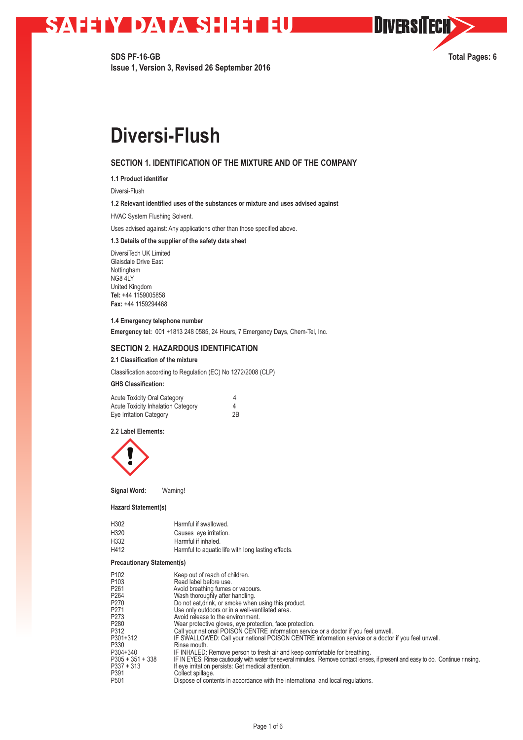**SDS PF-16-GB Total Pages: 6 Issue 1, Version 3, Revised 26 September 2016**

**OIVERSITECH>>** 

# **Diversi-Flush**

# **SECTION 1. IDENTIFICATION OF THE MIXTURE AND OF THE COMPANY**

**1.1 Product identifier**

Diversi-Flush

### **1.2 Relevant identified uses of the substances or mixture and uses advised against**

HVAC System Flushing Solvent.

Uses advised against: Any applications other than those specified above.

## **1.3 Details of the supplier of the safety data sheet**

DiversiTech UK Limited Glaisdale Drive East Nottingham NG8 4LY United Kingdom **Tel:** +44 1159005858 **Fax:** +44 1159294468

## **1.4 Emergency telephone number**

**Emergency tel:** 001 +1813 248 0585, 24 Hours, 7 Emergency Days, Chem-Tel, Inc.

## **SECTION 2. HAZARDOUS IDENTIFICATION**

## **2.1 Classification of the mixture**

Classification according to Regulation (EC) No 1272/2008 (CLP)

## **GHS Classification:**

| <b>Acute Toxicity Oral Category</b>       | 4  |
|-------------------------------------------|----|
| <b>Acute Toxicity Inhalation Category</b> | 4  |
| Eye Irritation Category                   | 2B |

**2.2 Label Elements:**



**Signal Word:** Warning!

#### **Hazard Statement(s)**

| H302 | Harmful if swallowed.                              |
|------|----------------------------------------------------|
| H320 | Causes eye irritation.                             |
| H332 | Harmful if inhaled.                                |
| H412 | Harmful to aquatic life with long lasting effects. |

## **Precautionary Statement(s)**

| P <sub>102</sub><br>P <sub>103</sub> | Keep out of reach of children.<br>Read label before use.                                                                         |
|--------------------------------------|----------------------------------------------------------------------------------------------------------------------------------|
| P <sub>261</sub>                     | Avoid breathing fumes or vapours.                                                                                                |
| P <sub>264</sub>                     | Wash thoroughly after handling.                                                                                                  |
| P <sub>270</sub>                     | Do not eat drink, or smoke when using this product.                                                                              |
| P <sub>271</sub>                     | Use only outdoors or in a well-ventilated area.                                                                                  |
| P <sub>273</sub>                     | Avoid release to the environment.                                                                                                |
| P <sub>280</sub>                     | Wear protective gloves, eye protection, face protection.                                                                         |
| P312                                 | Call your national POISON CENTRE information service or a doctor if you feel unwell.                                             |
| P301+312                             | IF SWALLOWED: Call your national POISON CENTRE information service or a doctor if you feel unwell.                               |
| P330                                 | Rinse mouth.                                                                                                                     |
| P304+340                             | IF INHALED: Remove person to fresh air and keep comfortable for breathing.                                                       |
| $P305 + 351 + 338$                   | IF IN EYES: Rinse cautiously with water for several minutes. Remove contact lenses, if present and easy to do. Continue rinsing. |
| $P337 + 313$                         | If eye irritation persists: Get medical attention.                                                                               |
| P391                                 | Collect spillage.                                                                                                                |
| P501                                 | Dispose of contents in accordance with the international and local regulations.                                                  |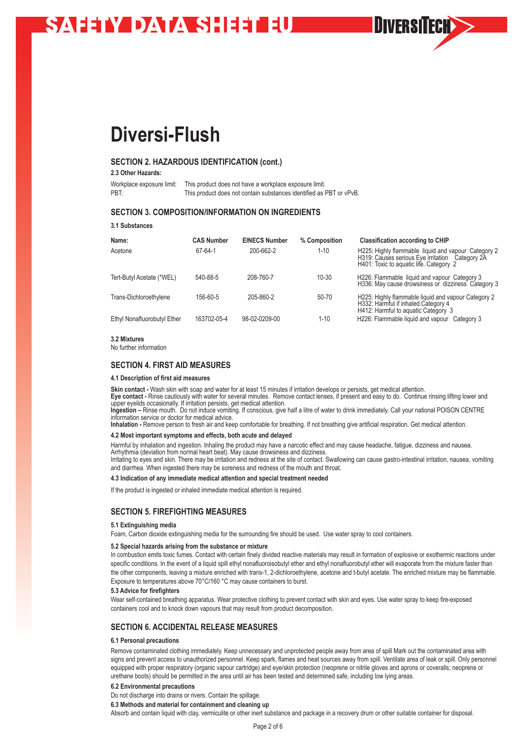# **Diversi-Flush**

# **SECTION 2. HAZARDOUS IDENTIFICATION (cont.)**

**2.3 Other Hazards:**

Workplace exposure limit: This product does not have a workplace exposure limit.<br>PBT: This product does not contain substances identified as This product does not contain substances identified as PBT or vPvB.

# **SECTION 3. COMPOSITION/INFORMATION ON INGREDIENTS**

**3.1 Substances**

| Name:                       | <b>CAS Number</b> | <b>EINECS Number</b> | % Composition | <b>Classification according to CHIP</b>                                                                                                           |
|-----------------------------|-------------------|----------------------|---------------|---------------------------------------------------------------------------------------------------------------------------------------------------|
| Acetone                     | 67-64-1           | 200-662-2            | $1 - 10$      | H225: Highly flammable liquid and vapour Category 2<br>H319: Causes serious Eye irritation Category 2A<br>H401: Toxic to aquatic life. Category 2 |
| Tert-Butyl Acetate (*WEL)   | 540-88-5          | 208-760-7            | $10 - 30$     | H226: Flammable liquid and vapour Category 3<br>H336: May cause drowsiness or dizziness Category 3                                                |
| Trans-Dichloroethylene      | 156-60-5          | 205-860-2            | $50 - 70$     | H225: Highly flammable liquid and vapour Category 2<br>H332: Harmful if inhaled Category 4<br>H412: Harmful to aguatic Category 3                 |
| Ethyl Nonafluorobutyl Ether | 163702-05-4       | 98-02-0209-00        | $1 - 10$      | H226: Flammable liquid and vapour Category 3                                                                                                      |

**DIVERSITECH>>** 

#### **3.2 Mixtures**

No further information

## **SECTION 4. FIRST AID MEASURES**

#### **4.1 Description of first aid measures**

**Skin contact -** Wash skin with soap and water for at least 15 minutes if irritation develops or persists, get medical attention. **Eye contact -** Rinse cautiously with water for several minutes. Remove contact lenses, if present and easy to do. Continue rinsing lifting lower and

upper eyelids occasionally. If irritation persists, get medical attention. **Ingestion –** Rinse mouth. Do not induce vomiting. If conscious, give half a litre of water to drink immediately. Call your national POISON CENTRE information service or doctor for medical advice.

**Inhalation -** Remove person to fresh air and keep comfortable for breathing. If not breathing give artificial respiration. Get medical attention.

#### **4.2 Most important symptoms and effects, both acute and delayed**

Harmful by inhalation and ingestion. Inhaling the product may have a narcotic effect and may cause headache, fatigue, dizziness and nausea. Arrhythmia (deviation from normal heart beat). May cause drowsiness and dizziness Irritating to eyes and skin. There may be irritation and redness at the site of contact. Swallowing can cause gastro-intestinal irritation, nausea, vomiting

and diarrhea. When ingested there may be soreness and redness of the mouth and throat.

## **4.3 Indication of any immediate medical attention and special treatment needed**

If the product is ingested or inhaled immediate medical attention is required.

## **SECTION 5. FIREFIGHTING MEASURES**

#### **5.1 Extinguishing media**

Foam, Carbon dioxide extinguishing media for the surrounding fire should be used. Use water spray to cool containers.

#### **5.2 Special hazards arising from the substance or mixture**

In combustion emits toxic fumes. Contact with certain finely divided reactive materials may result in formation of explosive or exothermic reactions under specific conditions. In the event of a liquid spill ethyl nonafluoroisobutyl ether and ethyl nonafluorobutyl ether will evaporate from the mixture faster than the other components, leaving a mixture enriched with trans-1, 2-dichloroethylene, acetone and t-butyl acetate. The enriched mixture may be flammable. Exposure to temperatures above 70°C/160 °C may cause containers to burst.

#### **5.3 Advice for firefighters**

Wear self-contained breathing apparatus. Wear protective clothing to prevent contact with skin and eyes. Use water spray to keep fire-exposed containers cool and to knock down vapours that may result from product decomposition.

## **SECTION 6. ACCIDENTAL RELEASE MEASURES**

## **6.1 Personal precautions**

Remove contaminated clothing immediately. Keep unnecessary and unprotected people away from area of spill Mark out the contaminated area with signs and prevent access to unauthorized personnel. Keep spark, flames and heat sources away from spill. Ventilate area of leak or spill. Only personnel equipped with proper respiratory (organic vapour cartridge) and eye/skin protection (neoprene or nitrile gloves and aprons or coveralls; neoprene or urethane boots) should be permitted in the area until air has been tested and determined safe, including low lying areas.

### **6.2 Environmental precautions**

Do not discharge into drains or rivers. Contain the spillage.

**6.3 Methods and material for containment and cleaning up**

Absorb and contain liquid with clay, vermiculite or other inert substance and package in a recovery drum or other suitable container for disposal.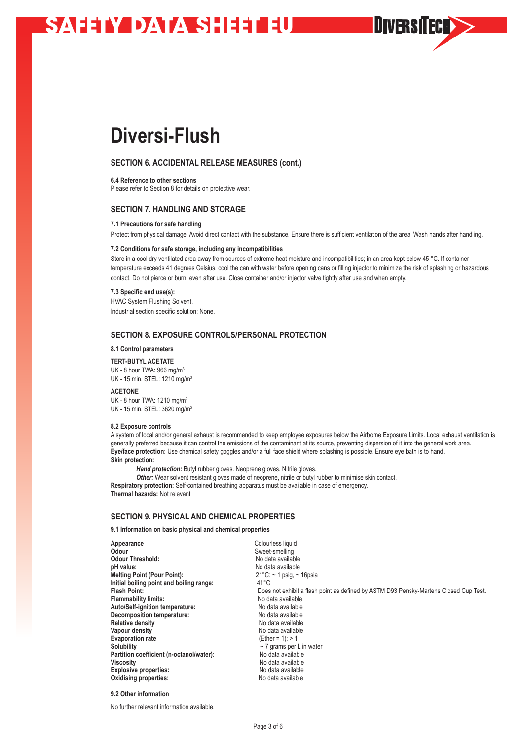# **Diversi-Flush**

# **SECTION 6. ACCIDENTAL RELEASE MEASURES (cont.)**

**6.4 Reference to other sections**

Please refer to Section 8 for details on protective wear.

## **SECTION 7. HANDLING AND STORAGE**

#### **7.1 Precautions for safe handling**

Protect from physical damage. Avoid direct contact with the substance. Ensure there is sufficient ventilation of the area. Wash hands after handling.

**OIVERSITECH>>** 

#### **7.2 Conditions for safe storage, including any incompatibilities**

Store in a cool dry ventilated area away from sources of extreme heat moisture and incompatibilities; in an area kept below 45 °C. If container temperature exceeds 41 degrees Celsius, cool the can with water before opening cans or filling injector to minimize the risk of splashing or hazardous contact. Do not pierce or burn, even after use. Close container and/or injector valve tightly after use and when empty.

#### **7.3 Specific end use(s):**

HVAC System Flushing Solvent. Industrial section specific solution: None.

## **SECTION 8. EXPOSURE CONTROLS/PERSONAL PROTECTION**

**8.1 Control parameters** 

**TERT-BUTYL ACETATE** UK - 8 hour TWA: 966 mg/m<sup>3</sup> UK - 15 min. STEL: 1210 mg/m<sup>3</sup>

**ACETONE**  UK - 8 hour TWA: 1210 mg/m<sup>3</sup> UK - 15 min. STEL: 3620 mg/m<sup>3</sup>

### **8.2 Exposure controls**

A system of local and/or general exhaust is recommended to keep employee exposures below the Airborne Exposure Limits. Local exhaust ventilation is generally preferred because it can control the emissions of the contaminant at its source, preventing dispersion of it into the general work area. **Eye/face protection:** Use chemical safety goggles and/or a full face shield where splashing is possible. Ensure eye bath is to hand. **Skin protection:** 

*Hand protection:* Butyl rubber gloves. Neoprene gloves. Nitrile gloves.

**Other:** Wear solvent resistant gloves made of neoprene, nitrile or butyl rubber to minimise skin contact. **Respiratory protection:** Self-contained breathing apparatus must be available in case of emergency. **Thermal hazards:** Not relevant

# **SECTION 9. PHYSICAL AND CHEMICAL PROPERTIES**

## **9.1 Information on basic physical and chemical properties**

| Appearance<br>Odour<br><b>Odour Threshold:</b><br>pH value:<br><b>Melting Point (Pour Point):</b><br>Initial boiling point and boiling range:<br><b>Flash Point:</b><br><b>Flammability limits:</b><br>Auto/Self-ignition temperature:<br>Decomposition temperature:<br><b>Relative density</b><br>Vapour density<br><b>Evaporation rate</b><br><b>Solubility</b><br>Partition coefficient (n-octanol/water): | Colourless liquid<br>Sweet-smelling<br>No data available<br>No data available<br>$21^{\circ}$ C: ~ 1 psig, ~ 16psia<br>41°C<br>Does not exhibit a flash point as defined by ASTM D93 Pensky-Martens Closed Cup Test.<br>No data available<br>No data available<br>No data available<br>No data available<br>No data available<br>(Ether = 1): $> 1$<br>$\sim$ 7 grams per L in water<br>No data available |
|---------------------------------------------------------------------------------------------------------------------------------------------------------------------------------------------------------------------------------------------------------------------------------------------------------------------------------------------------------------------------------------------------------------|-----------------------------------------------------------------------------------------------------------------------------------------------------------------------------------------------------------------------------------------------------------------------------------------------------------------------------------------------------------------------------------------------------------|
|                                                                                                                                                                                                                                                                                                                                                                                                               |                                                                                                                                                                                                                                                                                                                                                                                                           |
| <b>Viscosity</b>                                                                                                                                                                                                                                                                                                                                                                                              | No data available                                                                                                                                                                                                                                                                                                                                                                                         |
| <b>Explosive properties:</b>                                                                                                                                                                                                                                                                                                                                                                                  | No data available                                                                                                                                                                                                                                                                                                                                                                                         |
| <b>Oxidising properties:</b>                                                                                                                                                                                                                                                                                                                                                                                  | No data available                                                                                                                                                                                                                                                                                                                                                                                         |

### **9.2 Other information**

No further relevant information available.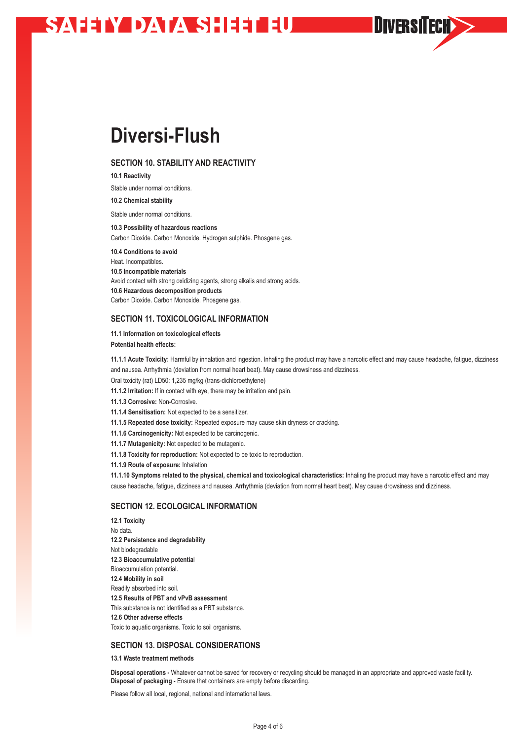# **Diversi-Flush**

# **SECTION 10. STABILITY AND REACTIVITY**

**10.1 Reactivity**

Stable under normal conditions.

**10.2 Chemical stability**

Stable under normal conditions.

**10.3 Possibility of hazardous reactions**

Carbon Dioxide. Carbon Monoxide. Hydrogen sulphide. Phosgene gas.

**10.4 Conditions to avoid** Heat. Incompatibles. **10.5 Incompatible materials** Avoid contact with strong oxidizing agents, strong alkalis and strong acids. **10.6 Hazardous decomposition products** Carbon Dioxide. Carbon Monoxide. Phosgene gas.

# **SECTION 11. TOXICOLOGICAL INFORMATION**

**11.1 Information on toxicological effects Potential health effects:**

**11.1.1 Acute Toxicity:** Harmful by inhalation and ingestion. Inhaling the product may have a narcotic effect and may cause headache, fatigue, dizziness and nausea. Arrhythmia (deviation from normal heart beat). May cause drowsiness and dizziness.

**OIVERSITECH>>** 

Oral toxicity (rat) LD50: 1,235 mg/kg (trans-dichloroethylene)

**11.1.2 Irritation:** If in contact with eye, there may be irritation and pain.

**11.1.3 Corrosive:** Non-Corrosive.

**11.1.4 Sensitisation:** Not expected to be a sensitizer.

**11.1.5 Repeated dose toxicity:** Repeated exposure may cause skin dryness or cracking.

**11.1.6 Carcinogenicity:** Not expected to be carcinogenic.

**11.1.7 Mutagenicity:** Not expected to be mutagenic.

**11.1.8 Toxicity for reproduction:** Not expected to be toxic to reproduction.

**11.1.9 Route of exposure:** Inhalation

**11.1.10 Symptoms related to the physical, chemical and toxicological characteristics:** Inhaling the product may have a narcotic effect and may cause headache, fatigue, dizziness and nausea. Arrhythmia (deviation from normal heart beat). May cause drowsiness and dizziness.

# **SECTION 12. ECOLOGICAL INFORMATION**

**12.1 Toxicity** No data. **12.2 Persistence and degradability** Not biodegradable **12.3 Bioaccumulative potentia**l Bioaccumulation potential. **12.4 Mobility in soil**  Readily absorbed into soil. **12.5 Results of PBT and vPvB assessment** This substance is not identified as a PBT substance. **12.6 Other adverse effects**  Toxic to aquatic organisms. Toxic to soil organisms.

## **SECTION 13. DISPOSAL CONSIDERATIONS**

**13.1 Waste treatment methods**

**Disposal operations -** Whatever cannot be saved for recovery or recycling should be managed in an appropriate and approved waste facility. **Disposal of packaging -** Ensure that containers are empty before discarding.

Please follow all local, regional, national and international laws.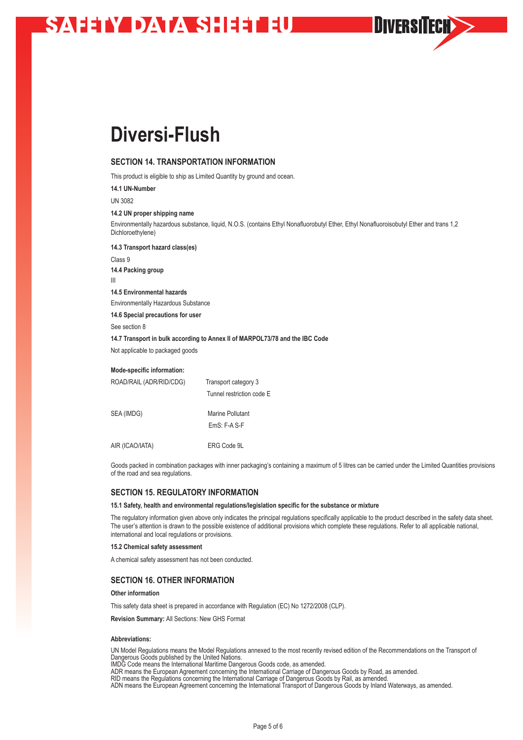# **Diversi-Flush**

# **SECTION 14. TRANSPORTATION INFORMATION**

This product is eligible to ship as Limited Quantity by ground and ocean.

**14.1 UN-Number** 

UN 3082

**14.2 UN proper shipping name**

Environmentally hazardous substance, liquid, N.O.S. (contains Ethyl Nonafluorobutyl Ether, Ethyl Nonafluoroisobutyl Ether and trans 1,2 Dichloroethylene)

**DIVERSITECH>>** 

**14.3 Transport hazard class(es)**

Class 9 **14.4 Packing group** III **14.5 Environmental hazards** Environmentally Hazardous Substance **14.6 Special precautions for user** See section 8

**14.7 Transport in bulk according to Annex II of MARPOL73/78 and the IBC Code**

Not applicable to packaged goods

### **Mode-specific information:**

| ROAD/RAIL (ADR/RID/CDG) | Transport category 3              |
|-------------------------|-----------------------------------|
|                         | Tunnel restriction code E         |
| SEA (IMDG)              | Marine Pollutant<br>$FmS$ F-A S-F |
|                         |                                   |
| AIR (ICAO/IATA)         | ERG Code 9L                       |

Goods packed in combination packages with inner packaging's containing a maximum of 5 litres can be carried under the Limited Quantities provisions of the road and sea regulations.

## **SECTION 15. REGULATORY INFORMATION**

#### **15.1 Safety, health and environmental regulations/legislation specific for the substance or mixture**

The regulatory information given above only indicates the principal regulations specifically applicable to the product described in the safety data sheet. The user's attention is drawn to the possible existence of additional provisions which complete these regulations. Refer to all applicable national, international and local regulations or provisions.

#### **15.2 Chemical safety assessment**

A chemical safety assessment has not been conducted.

## **SECTION 16. OTHER INFORMATION**

**Other information**

This safety data sheet is prepared in accordance with Regulation (EC) No 1272/2008 (CLP).

**Revision Summary:** All Sections: New GHS Format

### **Abbreviations:**

UN Model Regulations means the Model Regulations annexed to the most recently revised edition of the Recommendations on the Transport of Dangerous Goods published by the United Nations.

IMDG Code means the International Maritime Dangerous Goods code, as amended.

ADR means the European Agreement concerning the International Carriage of Dangerous Goods by Road, as amended.

RID means the Regulations concerning the International Carriage of Dangerous Goods by Rail, as amended.

ADN means the European Agreement concerning the International Transport of Dangerous Goods by Inland Waterways, as amended.